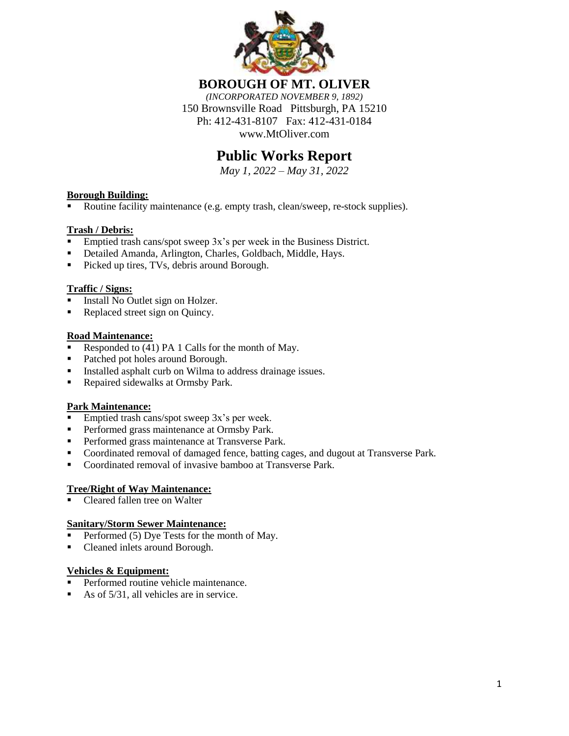

**BOROUGH OF MT. OLIVER**

*(INCORPORATED NOVEMBER 9, 1892)* 150 Brownsville Road Pittsburgh, PA 15210 Ph: 412-431-8107 Fax: 412-431-0184 www.MtOliver.com

# **Public Works Report**

*May 1, 2022 – May 31, 2022*

#### **Borough Building:**

Routine facility maintenance (e.g. empty trash, clean/sweep, re-stock supplies).

## **Trash / Debris:**

- Emptied trash cans/spot sweep 3x's per week in the Business District.
- Detailed Amanda, Arlington, Charles, Goldbach, Middle, Hays.
- Picked up tires, TVs, debris around Borough.

### **Traffic / Signs:**

- Install No Outlet sign on Holzer.
- Replaced street sign on Quincy.

#### **Road Maintenance:**

- Responded to  $(41)$  PA 1 Calls for the month of May.
- Patched pot holes around Borough.
- **Installed asphalt curb on Wilma to address drainage issues.**
- Repaired sidewalks at Ormsby Park.

### **Park Maintenance:**

- Emptied trash cans/spot sweep 3x's per week.
- **Performed grass maintenance at Ormsby Park.**
- **Performed grass maintenance at Transverse Park.**
- Coordinated removal of damaged fence, batting cages, and dugout at Transverse Park.
- Coordinated removal of invasive bamboo at Transverse Park.

### **Tree/Right of Way Maintenance:**

Cleared fallen tree on Walter

#### **Sanitary/Storm Sewer Maintenance:**

- Performed (5) Dye Tests for the month of May.
- Cleaned inlets around Borough.

### **Vehicles & Equipment:**

- Performed routine vehicle maintenance.
- As of  $5/31$ , all vehicles are in service.